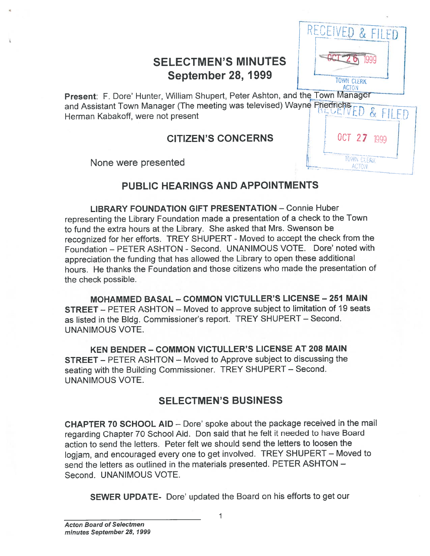# **SELECTMEN'S MINUTES September 28, 1999**

RECEIVED & FILED

**TOWN CLERK ACTON** 

OCT 27 1999

**TOWN CLERK** 

ACTON

Present: F. Dore' Hunter, William Shupert, Peter Ashton, and the Town Manager and Assistant Town Manager (The meeting was televised) Wayne Friedrichs  $\mathcal{K}_{\mathcal{L}}$ FILED Herman Kabakoff, were not present

# **CITIZEN'S CONCERNS**

None were presented

# PUBLIC HEARINGS AND APPOINTMENTS

**LIBRARY FOUNDATION GIFT PRESENTATION - Connie Huber** representing the Library Foundation made a presentation of a check to the Town to fund the extra hours at the Library. She asked that Mrs. Swenson be recognized for her efforts. TREY SHUPERT - Moved to accept the check from the Foundation - PETER ASHTON - Second. UNANIMOUS VOTE. Dore' noted with appreciation the funding that has allowed the Library to open these additional hours. He thanks the Foundation and those citizens who made the presentation of the check possible.

MOHAMMED BASAL - COMMON VICTULLER'S LICENSE - 251 MAIN **STREET** – PETER ASHTON – Moved to approve subject to limitation of 19 seats as listed in the Bldg. Commissioner's report. TREY SHUPERT - Second. **UNANIMOUS VOTE.** 

KEN BENDER - COMMON VICTULLER'S LICENSE AT 208 MAIN **STREET** – PETER ASHTON – Moved to Approve subject to discussing the seating with the Building Commissioner. TREY SHUPERT - Second. **UNANIMOUS VOTE.** 

# **SELECTMEN'S BUSINESS**

CHAPTER 70 SCHOOL AID - Dore' spoke about the package received in the mail regarding Chapter 70 School Aid. Don said that he felt it needed to have Board action to send the letters. Peter felt we should send the letters to loosen the logjam, and encouraged every one to get involved. TREY SHUPERT - Moved to send the letters as outlined in the materials presented. PETER ASHTON -Second. UNANIMOUS VOTE.

**SEWER UPDATE-** Dore' updated the Board on his efforts to get our

1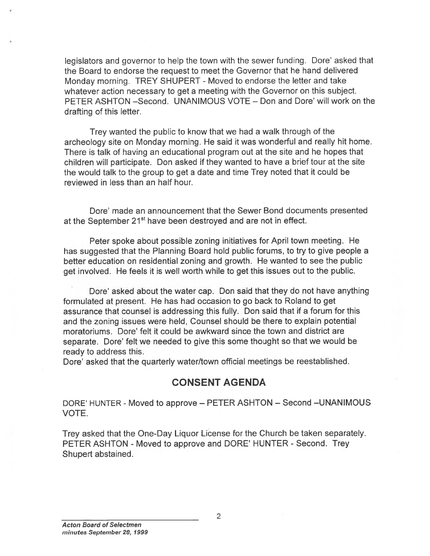legislators and governor to help the town with the sewer funding. Dote' asked that the Board to endorse the reques<sup>t</sup> to meet the Governor that he hand delivered Monday morning. TREY SHUPERT - Moved to endorse the letter and take whatever action necessary to ge<sup>t</sup> <sup>a</sup> meeting with the Governor on this subject. PETER ASHTON —Second. UNANIMOUS VOTE — Don and Dote' will work on the drafting of this letter.

Trey wanted the public to know that we had <sup>a</sup> walk through of the archeology site on Monday morning. He said it was wonderful and really hit home. There is talk of having an educational program out at the site and he hopes that children will participate. Don asked if they wanted to have <sup>a</sup> brief tour at the site the would talk to the group to ge<sup>t</sup> <sup>a</sup> date and time Trey noted that it could be reviewed in less than an half hour.

Dote' made an announcement that the Sewer Bond documents presented at the September 21<sup>st</sup> have been destroved and are not in effect.

Peter spoke about possible zoning initiatives for April town meeting. He has suggested that the Planning Board hold public forums, to try to give people <sup>a</sup> better education on residential zoning and growth. He wanted to see the public ge<sup>t</sup> involved. He feels it is well worth while to ge<sup>t</sup> this issues out to the public.

Dote' asked about the water cap. Don said that they do not have anything formulated at present. He has had occasion to go back to Roland to ge<sup>t</sup> assurance that counsel is addressing this fully. Don said that if <sup>a</sup> forum for this and the zoning issues were held, Counsel should be there to explain potential moratoriums. Dore' felt it could be awkward since the town and district are separate. Dore' felt we needed to <sup>g</sup>ive this some thought so that we would be ready to address this.

Dote' asked that the quarterly water/town official meetings be reestablished.

## CONSENT AGENDA

DORE' HUNTER - Moved to approve – PETER ASHTON – Second – UNANIMOUS VOTE.

Trey asked that the One-Day Liquor License for the Church be taken separately. PETER ASHTON - Moved to approve and DORE' HUNTER - Second. Trey Shupert abstained.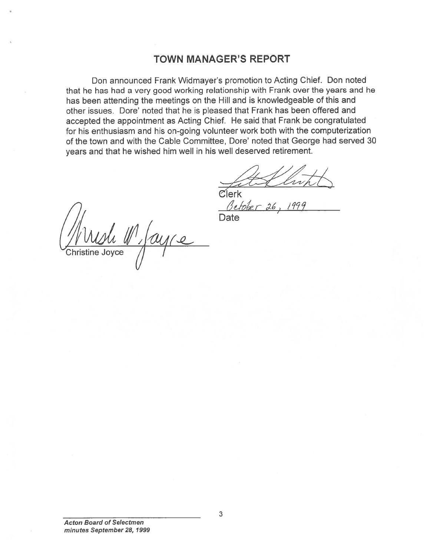## TOWN MANAGER'S REPORT

Don announced Frank Widmayer's promotion to Acting Chief. Don noted that he has had <sup>a</sup> very good working relationship with Frank over the years and he has been attending the meetings on the Hill and is knowledgeable of this and other issues. Dore' noted that he is pleased that Frank has been offered and accepted the appointment as Acting Chief. He said that Frank be congratulated for his enthusiasm and his on-going volunteer work both with the computerization of the town and with the Cable Committee, Dote' noted that George had served 30 years and that he wished him well in his well deserved retirement.

r

**Clerk** 

Beber 26, 1999<br>Mush M, ay ce<br>Christine Joyce

Acton Board of Selectmen minutes September 28, 1999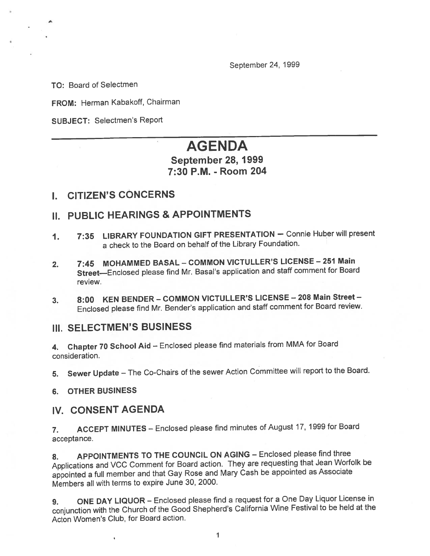September 24, 1999

TO: Board of Selectmen

FROM: Herman Kabakoff, Chairman

SUBJECT: Selectmen's Report

# AGENDA

#### September 28, 1999 7:30 P.M. - Room 204

### I. CITIZEN'S CONCERNS

# II. PUBLIC HEARINGS & APPOINTMENTS

- 1. 7:35 LIBRARY FOUNDATION GIFT PRESENTATION Connie Huber will presen<sup>t</sup> <sup>a</sup> check to the Board on behalf of the Library Foundation.
- 2. 7:45 MOHAMMED BASAL COMMON VICTULLER'S LICENSE <sup>251</sup> Main Street—Enclosed <sup>p</sup>lease find Mr. Basal's application and staff comment for Board review.
- 3. 8:00 KEN BENDER COMMON VICTULLER'S LICENSE <sup>208</sup> Main Street Enclosed <sup>p</sup>lease find Mr. Bender's application and staff comment for Board review.

#### III. SELECTMEN'S BUSINESS

4. Chapter <sup>70</sup> School Aid — Enclosed <sup>p</sup>lease find materials from MMA for Board consideration.

5. Sewer Update — The Co-Chairs of the sewer Action Committee will repor<sup>t</sup> to the Board.

6. OTHER BUSINESS

#### IV. CONSENT AGENDA

7. ACCEPT MINUTES — Enclosed <sup>p</sup>lease find minutes of August 17, <sup>1999</sup> for Board acceptance.

8. APPOINTMENTS TO THE COUNCIL ON AGING - Enclosed please find three Applications and VCC Comment for Board action. They are requesting that Jean Worfolk be appointed <sup>a</sup> full member and that Gay Rose and Mary Cash be appointed as Associate Members all with terms to expire June 30, 2000.

9. ONE DAY LIQUOR — Enclosed <sup>p</sup>lease find <sup>a</sup> reques<sup>t</sup> for <sup>a</sup> One Day Liquor License in conjunction with the Church of the Good Shepherd's California Wine Festival to be held at the Acton Women's Club, for Board action.